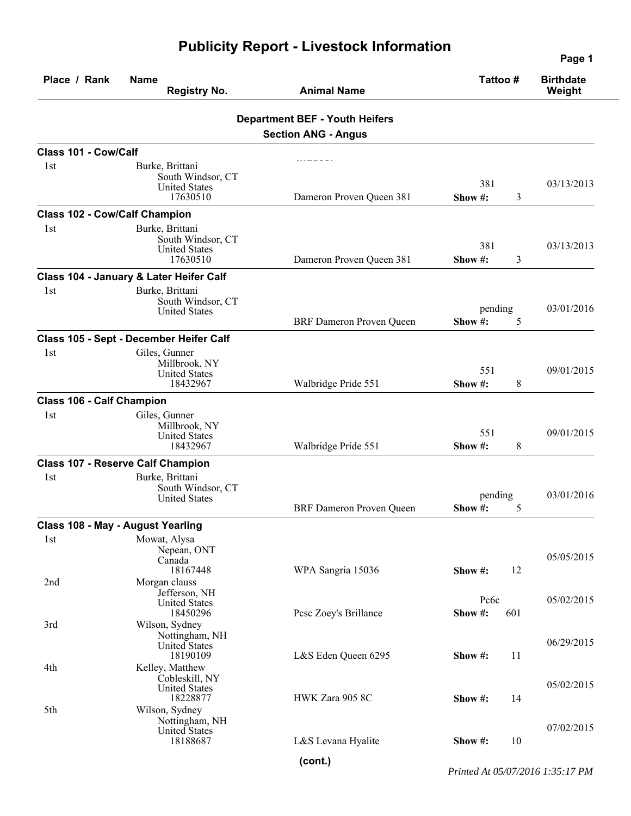|                                      |                                                                                         |                                                                     |                         | Page 1                     |  |
|--------------------------------------|-----------------------------------------------------------------------------------------|---------------------------------------------------------------------|-------------------------|----------------------------|--|
| Place / Rank                         | <b>Name</b><br><b>Registry No.</b>                                                      | <b>Animal Name</b>                                                  | Tattoo#                 | <b>Birthdate</b><br>Weight |  |
|                                      |                                                                                         | <b>Department BEF - Youth Heifers</b><br><b>Section ANG - Angus</b> |                         |                            |  |
| Class 101 - Cow/Calf                 |                                                                                         |                                                                     |                         |                            |  |
| 1st                                  | Burke, Brittani<br>South Windsor, CT<br><b>United States</b><br>17630510                | Dameron Proven Queen 381                                            | 381<br>3<br>Show $#$ :  | 03/13/2013                 |  |
| <b>Class 102 - Cow/Calf Champion</b> |                                                                                         |                                                                     |                         |                            |  |
| 1st                                  | Burke, Brittani<br>South Windsor, CT<br><b>United States</b><br>17630510                | Dameron Proven Queen 381                                            | 381<br>3<br>Show#:      | 03/13/2013                 |  |
|                                      | Class 104 - January & Later Heifer Calf                                                 |                                                                     |                         |                            |  |
| 1st                                  | Burke, Brittani<br>South Windsor, CT<br><b>United States</b>                            | <b>BRF</b> Dameron Proven Queen                                     | pending<br>5<br>Show#:  | 03/01/2016                 |  |
|                                      | Class 105 - Sept - December Heifer Calf                                                 |                                                                     |                         |                            |  |
| 1st                                  | Giles, Gunner<br>Millbrook, NY<br><b>United States</b><br>18432967                      | Walbridge Pride 551                                                 | 551<br>8<br>Show #:     | 09/01/2015                 |  |
| Class 106 - Calf Champion            |                                                                                         |                                                                     |                         |                            |  |
| 1st                                  | Giles, Gunner<br>Millbrook, NY<br><b>United States</b><br>18432967                      | Walbridge Pride 551                                                 | 551<br>Show #:<br>8     | 09/01/2015                 |  |
|                                      | <b>Class 107 - Reserve Calf Champion</b>                                                |                                                                     |                         |                            |  |
| 1st                                  | Burke, Brittani<br>South Windsor, CT<br><b>United States</b>                            | <b>BRF</b> Dameron Proven Queen                                     | pending<br>Show #:<br>5 | 03/01/2016                 |  |
|                                      | <b>Class 108 - May - August Yearling</b>                                                |                                                                     |                         |                            |  |
| 1st<br>2nd                           | Mowat, Alysa<br>Nepean, ONT<br>Canada<br>18167448<br>Morgan clauss                      | WPA Sangria 15036                                                   | 12<br>Show #:           | 05/05/2015                 |  |
| 3rd                                  | Jefferson, NH<br><b>United States</b><br>18450296<br>Wilson, Sydney                     | Pese Zoey's Brillance                                               | Pc6c<br>Show #:<br>601  | 05/02/2015                 |  |
|                                      | Nottingham, NH<br>United States<br>18190109                                             | L&S Eden Queen 6295                                                 | 11<br>Show #:           | 06/29/2015                 |  |
| 4th<br>5th                           | Kelley, Matthew<br>Cobleskill, NY<br><b>United States</b><br>18228877<br>Wilson, Sydney | HWK Zara 905 8C                                                     | 14<br>Show #:           | 05/02/2015                 |  |
|                                      | Nottingham, NH<br>United States<br>18188687                                             | L&S Levana Hyalite                                                  | 10<br>Show #:           | 07/02/2015                 |  |
|                                      |                                                                                         |                                                                     |                         |                            |  |

## **Publicity Report - Livestock Information**

*Printed At 05/07/2016 1:35:17 PM*

**(cont.)**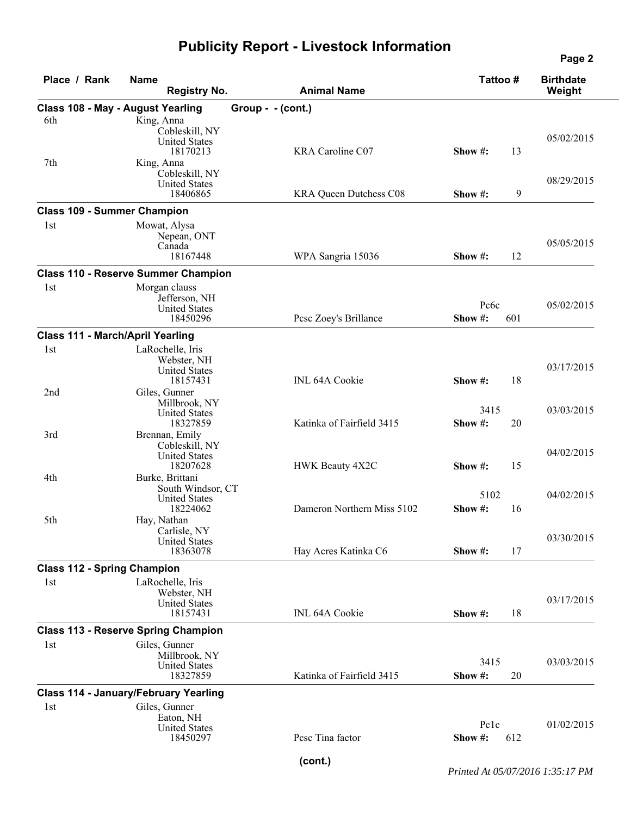## **Publicity Report - Livestock Information**

| Place / Rank                       | <b>Name</b><br><b>Registry No.</b>                                                      | <b>Animal Name</b>         | Tattoo#                | <b>Birthdate</b><br>Weight |
|------------------------------------|-----------------------------------------------------------------------------------------|----------------------------|------------------------|----------------------------|
|                                    | <b>Class 108 - May - August Yearling</b>                                                | Group - - (cont.)          |                        |                            |
| 6th                                | King, Anna<br>Cobleskill, NY<br><b>United States</b><br>18170213                        | KRA Caroline C07           | 13<br>Show $#$ :       | 05/02/2015                 |
| 7th                                | King, Anna<br>Cobleskill, NY<br><b>United States</b><br>18406865                        | KRA Queen Dutchess C08     | 9<br>Show $#$ :        | 08/29/2015                 |
|                                    | <b>Class 109 - Summer Champion</b>                                                      |                            |                        |                            |
| 1st                                | Mowat, Alysa<br>Nepean, ONT<br>Canada<br>18167448                                       | WPA Sangria 15036          | 12<br>Show #:          | 05/05/2015                 |
|                                    | <b>Class 110 - Reserve Summer Champion</b>                                              |                            |                        |                            |
| 1st                                | Morgan clauss<br>Jefferson, NH<br><b>United States</b><br>18450296                      | Pese Zoey's Brillance      | Pc6c<br>Show#:<br>601  | 05/02/2015                 |
|                                    | <b>Class 111 - March/April Yearling</b>                                                 |                            |                        |                            |
| 1st                                | LaRochelle, Iris<br>Webster, NH<br><b>United States</b><br>18157431                     | <b>INL 64A Cookie</b>      | Show #:<br>18          | 03/17/2015                 |
| 2 <sub>nd</sub>                    | Giles, Gunner<br>Millbrook, NY<br><b>United States</b><br>18327859                      | Katinka of Fairfield 3415  | 3415<br>20<br>Show #:  | 03/03/2015                 |
| 3rd<br>4th                         | Brennan, Emily<br>Cobleskill, NY<br><b>United States</b><br>18207628<br>Burke, Brittani | HWK Beauty 4X2C            | 15<br>Show $#$ :       | 04/02/2015                 |
|                                    | South Windsor, CT<br><b>United States</b><br>18224062                                   | Dameron Northern Miss 5102 | 5102<br>Show #:<br>16  | 04/02/2015                 |
| 5th                                | Hay, Nathan<br>Carlisle, NY<br><b>United States</b><br>18363078                         | Hay Acres Katinka C6       | 17<br>Show #:          | 03/30/2015                 |
| <b>Class 112 - Spring Champion</b> |                                                                                         |                            |                        |                            |
| 1st                                | LaRochelle, Iris<br>Webster, NH<br><b>United States</b><br>18157431                     | <b>INL 64A Cookie</b>      | 18<br>Show #:          | 03/17/2015                 |
|                                    | <b>Class 113 - Reserve Spring Champion</b>                                              |                            |                        |                            |
| 1st                                | Giles, Gunner<br>Millbrook, NY<br><b>United States</b><br>18327859                      | Katinka of Fairfield 3415  | 3415<br>20<br>Show #:  | 03/03/2015                 |
|                                    | <b>Class 114 - January/February Yearling</b>                                            |                            |                        |                            |
| 1st                                | Giles, Gunner<br>Eaton, NH<br><b>United States</b><br>18450297                          | Pese Tina factor           | Pclc<br>612<br>Show #: | 01/02/2015                 |

**Page 2**